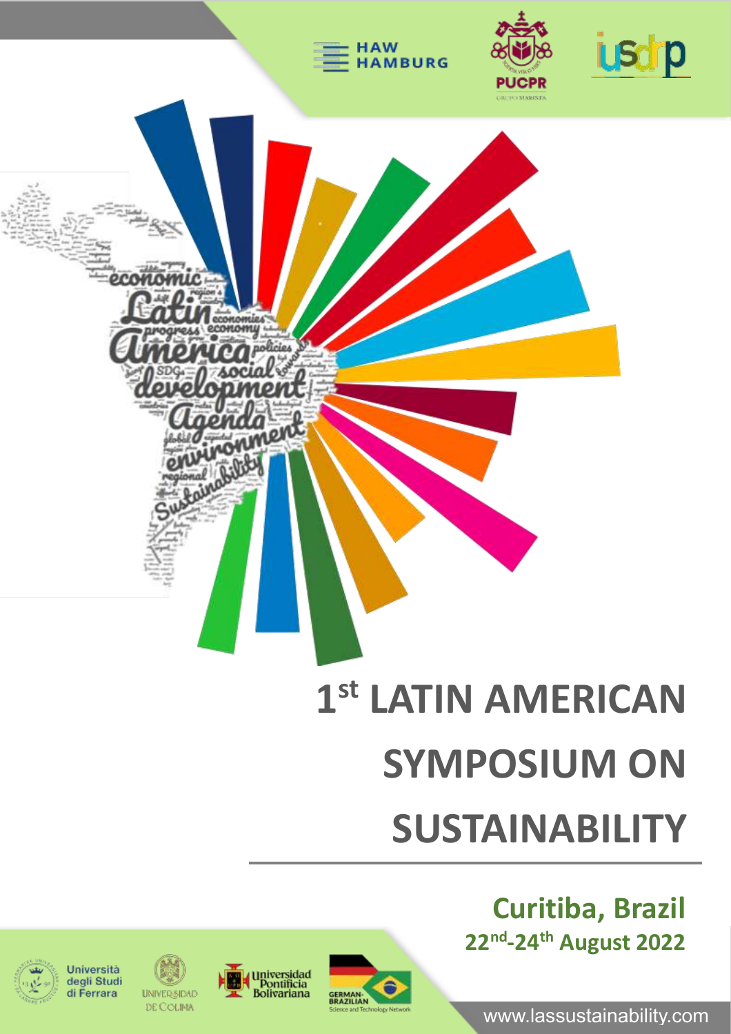

# **SYMPOSIUM ON**

# **SUSTAINABILITY**

**Curitiba, Brazil 22nd -24th August 2022**

www.lassustainability.com











**UNIVERSIDAD** DE COLIMA



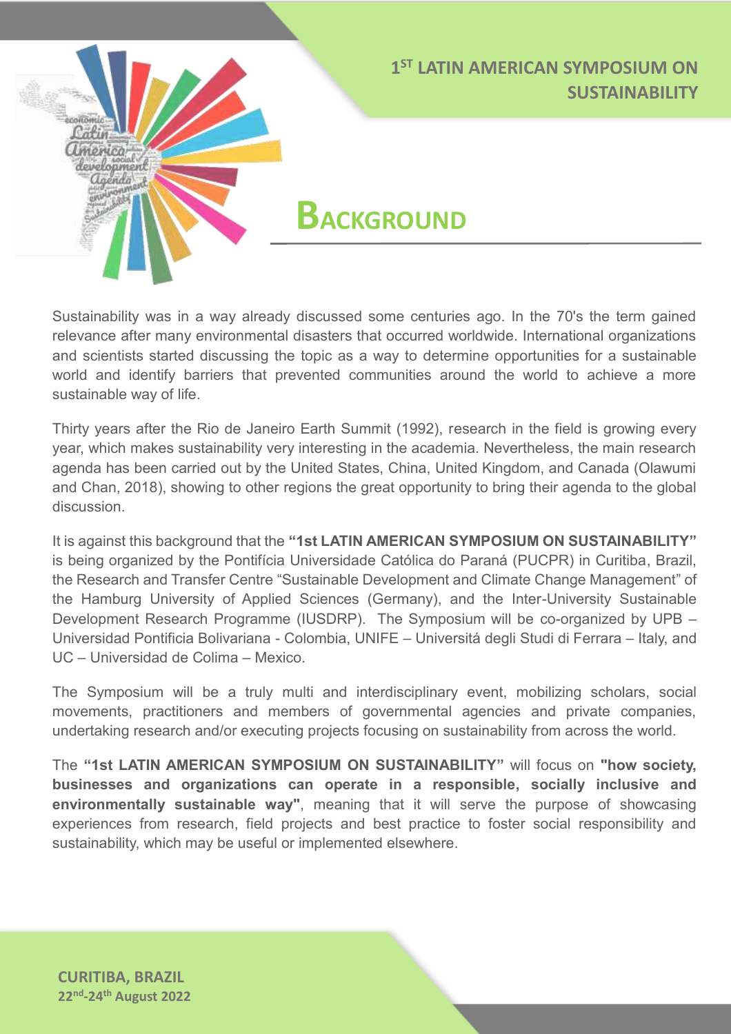**BACKGROUND**

Sustainability was in a way already discussed some centuries ago. In the 70's the term gained relevance after many environmental disasters that occurred worldwide. International organizations and scientists started discussing the topic as a way to determine opportunities for a sustainable world and identify barriers that prevented communities around the world to achieve a more sustainable way of life.

Thirty years after the Rio de Janeiro Earth Summit (1992), research in the field is growing every year, which makes sustainability very interesting in the academia. Nevertheless, the main research agenda has been carried out by the United States, China, United Kingdom, and Canada (Olawumi and Chan, 2018), showing to other regions the great opportunity to bring their agenda to the global discussion.

It is against this background that the **"1st LATIN AMERICAN SYMPOSIUM ON SUSTAINABILITY"** is being organized by the Pontifícia Universidade Católica do Paraná (PUCPR) in Curitiba, Brazil, the Research and Transfer Centre "Sustainable Development and Climate Change Management" of the Hamburg University of Applied Sciences (Germany), and the Inter-University Sustainable Development Research Programme (IUSDRP). The Symposium will be co-organized by UPB – Universidad Pontificia Bolivariana - Colombia, UNIFE – Universitá degli Studi di Ferrara – Italy, and UC – Universidad de Colima – Mexico.

The Symposium will be a truly multi and interdisciplinary event, mobilizing scholars, social movements, practitioners and members of governmental agencies and private companies, undertaking research and/or executing projects focusing on sustainability from across the world.

The **"1st LATIN AMERICAN SYMPOSIUM ON SUSTAINABILITY"** will focus on **"how society, businesses and organizations can operate in a responsible, socially inclusive and environmentally sustainable way"**, meaning that it will serve the purpose of showcasing experiences from research, field projects and best practice to foster social responsibility and sustainability, which may be useful or implemented elsewhere.

**CURITIBA, BRAZIL 22nd -24th August 2022**

montad<sub>a</sub>) Laenda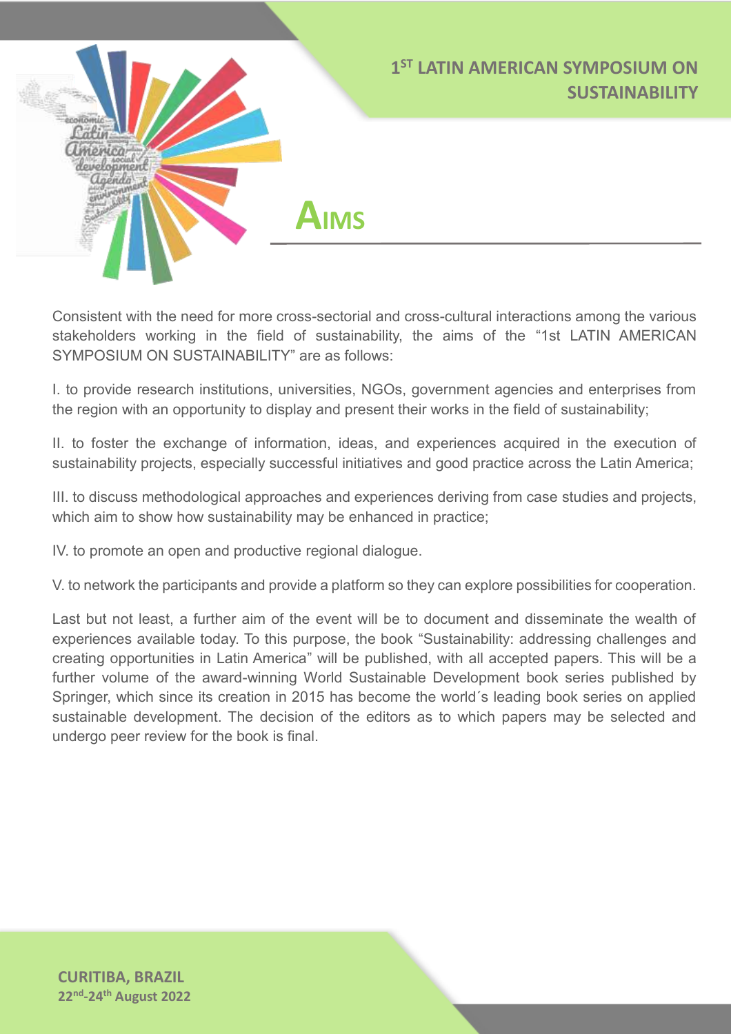

Consistent with the need for more cross-sectorial and cross-cultural interactions among the various stakeholders working in the field of sustainability, the aims of the "1st LATIN AMERICAN SYMPOSIUM ON SUSTAINABILITY" are as follows:

I. to provide research institutions, universities, NGOs, government agencies and enterprises from the region with an opportunity to display and present their works in the field of sustainability;

II. to foster the exchange of information, ideas, and experiences acquired in the execution of sustainability projects, especially successful initiatives and good practice across the Latin America;

III. to discuss methodological approaches and experiences deriving from case studies and projects, which aim to show how sustainability may be enhanced in practice;

IV. to promote an open and productive regional dialogue.

V. to network the participants and provide a platform so they can explore possibilities for cooperation.

Last but not least, a further aim of the event will be to document and disseminate the wealth of experiences available today. To this purpose, the book "Sustainability: addressing challenges and creating opportunities in Latin America" will be published, with all accepted papers. This will be a further volume of the award-winning World Sustainable Development book series published by Springer, which since its creation in 2015 has become the world´s leading book series on applied sustainable development. The decision of the editors as to which papers may be selected and undergo peer review for the book is final.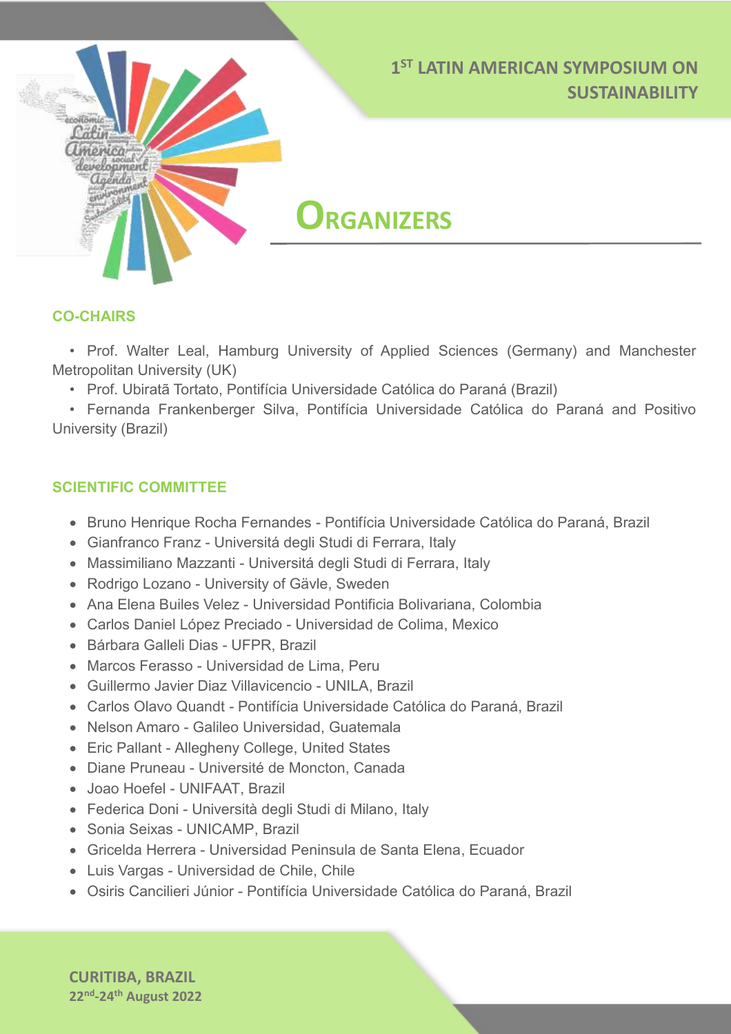**ORGANIZERS**

#### **CO-CHAIRS**

ірмеа relopment endo

• Prof. Walter Leal, Hamburg University of Applied Sciences (Germany) and Manchester Metropolitan University (UK)

• Prof. Ubiratã Tortato, Pontifícia Universidade Católica do Paraná (Brazil)

• Fernanda Frankenberger Silva, Pontifícia Universidade Católica do Paraná and Positivo University (Brazil)

#### **SCIENTIFIC COMMITTEE**

- Bruno Henrique Rocha Fernandes Pontifícia Universidade Católica do Paraná, Brazil
- Gianfranco Franz Universitá degli Studi di Ferrara, Italy
- Massimiliano Mazzanti Universitá degli Studi di Ferrara, Italy
- Rodrigo Lozano University of Gävle, Sweden
- Ana Elena Builes Velez Universidad Pontificia Bolivariana, Colombia
- Carlos Daniel López Preciado Universidad de Colima, Mexico
- Bárbara Galleli Dias UFPR, Brazil
- Marcos Ferasso Universidad de Lima, Peru
- Guillermo Javier Diaz Villavicencio UNILA, Brazil
- Carlos Olavo Quandt Pontifícia Universidade Católica do Paraná, Brazil
- Nelson Amaro Galileo Universidad, Guatemala
- Eric Pallant Allegheny College, United States
- Diane Pruneau [-](mailto:diane.pruneau@umoncton.ca) Université de Moncton, Canada
- Joao Hoefel UNIFAAT, Brazil
- Federica Doni Università degli Studi di Milano, Italy
- Sonia Seixas UNICAMP, Brazil
- Gricelda Herrera Universidad Peninsula de Santa Elena, Ecuador
- Luis Vargas Universidad de Chile, Chile
- Osiris Cancilieri Júnior Pontifícia Universidade Católica do Paraná, Brazil

**CURITIBA, BRAZIL 22nd -24th August 2022**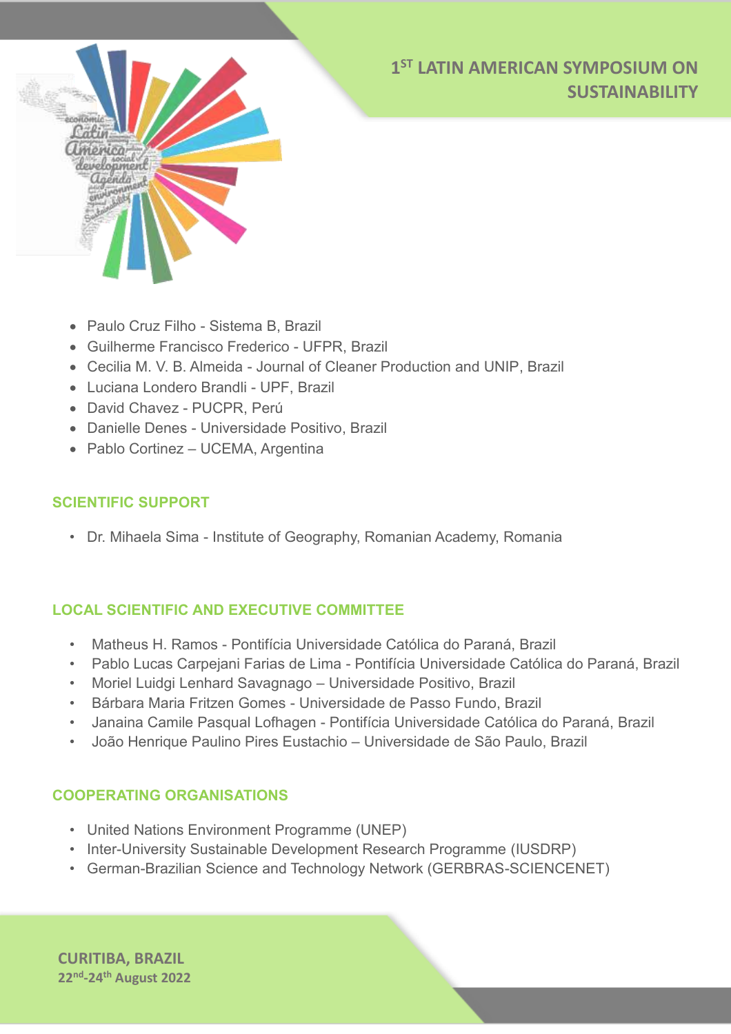

- Paulo Cruz Filho Sistema B, Brazil
- Guilherme Francisco Frederico UFPR, Brazil
- Cecilia M. V. B. Almeida Journal of Cleaner Production and UNIP, Brazil
- Luciana Londero Brandli UPF, Brazil
- David Chavez PUCPR, Perú
- Danielle Denes Universidade Positivo, Brazil
- Pablo Cortinez UCEMA, Argentina

#### **SCIENTIFIC SUPPORT**

• Dr. Mihaela Sima - Institute of Geography, Romanian Academy, Romania

#### **LOCAL SCIENTIFIC AND EXECUTIVE COMMITTEE**

- Matheus H. Ramos Pontifícia Universidade Católica do Paraná, Brazil
- Pablo Lucas Carpejani Farias de Lima Pontifícia Universidade Católica do Paraná, Brazil
- Moriel Luidgi Lenhard Savagnago Universidade Positivo, Brazil
- Bárbara Maria Fritzen Gomes Universidade de Passo Fundo, Brazil
- Janaina Camile Pasqual Lofhagen Pontifícia Universidade Católica do Paraná, Brazil
- João Henrique Paulino Pires Eustachio Universidade de São Paulo, Brazil

#### **COOPERATING ORGANISATIONS**

- United Nations Environment Programme (UNEP)
- Inter-University Sustainable Development Research Programme (IUSDRP)
- German-Brazilian Science and Technology Network (GERBRAS-SCIENCENET)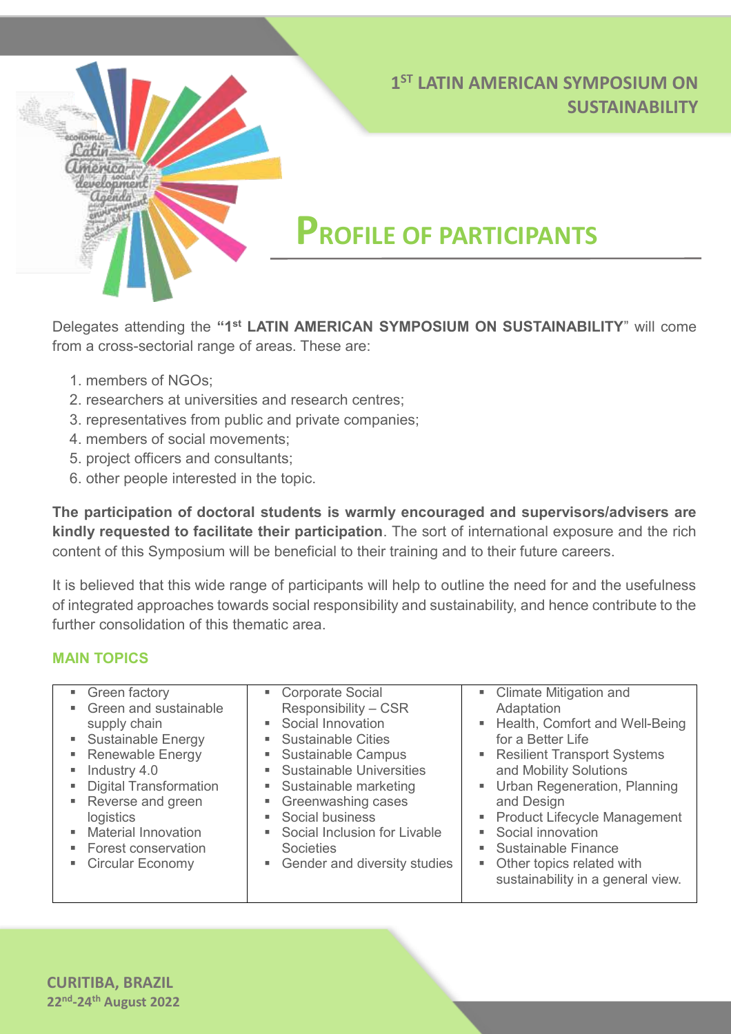

### **PROFILE OF PARTICIPANTS**

Delegates attending the **"1st LATIN AMERICAN SYMPOSIUM ON SUSTAINABILITY**" will come from a cross-sectorial range of areas. These are:

- 1. members of NGOs;
- 2. researchers at universities and research centres;
- 3. representatives from public and private companies;
- 4. members of social movements;
- 5. project officers and consultants;
- 6. other people interested in the topic.

**The participation of doctoral students is warmly encouraged and supervisors/advisers are kindly requested to facilitate their participation**. The sort of international exposure and the rich content of this Symposium will be beneficial to their training and to their future careers.

It is believed that this wide range of participants will help to outline the need for and the usefulness of integrated approaches towards social responsibility and sustainability, and hence contribute to the further consolidation of this thematic area.

#### **MAIN TOPICS**

| • Green factory<br>• Climate Mitigation and<br>• Corporate Social<br>• Green and sustainable<br>Responsibility - CSR<br>Adaptation<br>• Social Innovation<br>■ Health, Comfort and Well-Being<br>supply chain<br>• Sustainable Energy<br>■ Sustainable Cities<br>for a Better Life<br>• Renewable Energy<br>• Sustainable Campus<br>• Resilient Transport Systems<br>and Mobility Solutions<br>• Sustainable Universities<br>$\blacksquare$ Industry 4.0<br>• Digital Transformation<br>• Urban Regeneration, Planning<br>• Sustainable marketing<br>• Reverse and green<br>• Greenwashing cases<br>and Design<br>• Social business<br>• Product Lifecycle Management<br>logistics<br>• Social innovation<br>• Material Innovation<br>• Social Inclusion for Livable<br>• Sustainable Finance<br>• Forest conservation<br><b>Societies</b><br>• Other topics related with<br>• Gender and diversity studies<br>• Circular Economy<br>sustainability in a general view. |
|------------------------------------------------------------------------------------------------------------------------------------------------------------------------------------------------------------------------------------------------------------------------------------------------------------------------------------------------------------------------------------------------------------------------------------------------------------------------------------------------------------------------------------------------------------------------------------------------------------------------------------------------------------------------------------------------------------------------------------------------------------------------------------------------------------------------------------------------------------------------------------------------------------------------------------------------------------------------|
|                                                                                                                                                                                                                                                                                                                                                                                                                                                                                                                                                                                                                                                                                                                                                                                                                                                                                                                                                                        |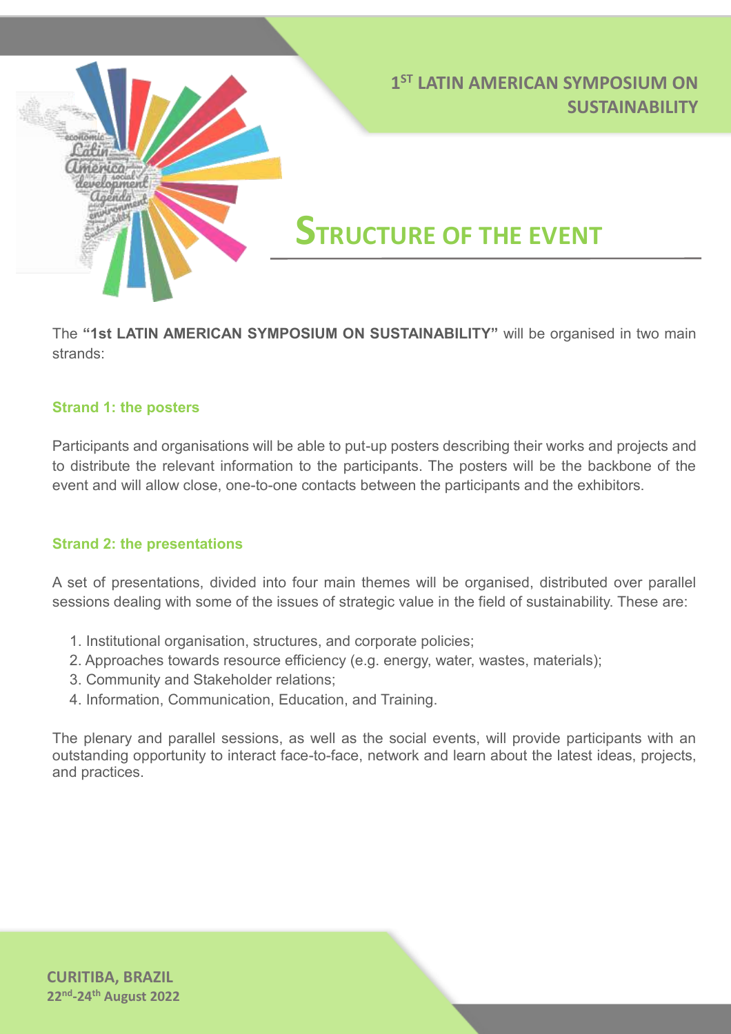

The **"1st LATIN AMERICAN SYMPOSIUM ON SUSTAINABILITY"** will be organised in two main strands:

#### **Strand 1: the posters**

Participants and organisations will be able to put-up posters describing their works and projects and to distribute the relevant information to the participants. The posters will be the backbone of the event and will allow close, one-to-one contacts between the participants and the exhibitors.

#### **Strand 2: the presentations**

A set of presentations, divided into four main themes will be organised, distributed over parallel sessions dealing with some of the issues of strategic value in the field of sustainability. These are:

- 1. Institutional organisation, structures, and corporate policies;
- 2. Approaches towards resource efficiency (e.g. energy, water, wastes, materials);
- 3. Community and Stakeholder relations;
- 4. Information, Communication, Education, and Training.

The plenary and parallel sessions, as well as the social events, will provide participants with an outstanding opportunity to interact face-to-face, network and learn about the latest ideas, projects, and practices.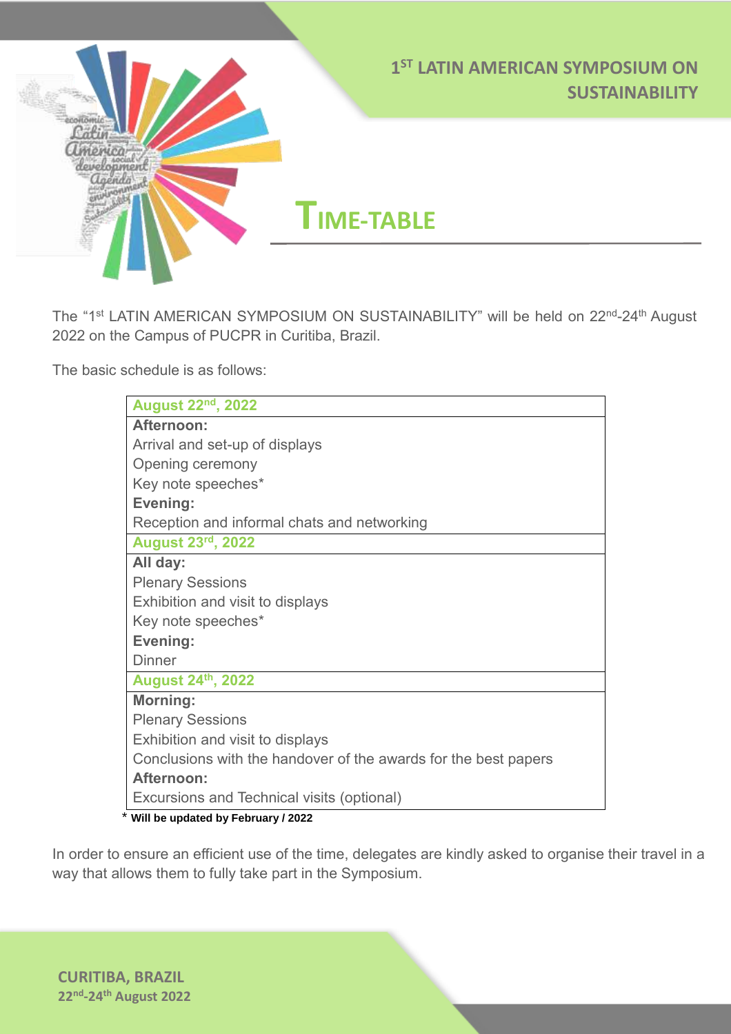

**TIME-TABLE**

The "1<sup>st</sup> LATIN AMERICAN SYMPOSIUM ON SUSTAINABILITY" will be held on 22<sup>nd</sup>-24<sup>th</sup> August 2022 on the Campus of PUCPR in Curitiba, Brazil.

The basic schedule is as follows:

*America*<br>development<br>*agenda* 

...

| <b>August 22nd, 2022</b>                                        |
|-----------------------------------------------------------------|
| Afternoon:                                                      |
| Arrival and set-up of displays                                  |
| Opening ceremony                                                |
| Key note speeches*                                              |
| Evening:                                                        |
| Reception and informal chats and networking                     |
| <b>August 23rd, 2022</b>                                        |
| All day:                                                        |
| <b>Plenary Sessions</b>                                         |
| Exhibition and visit to displays                                |
| Key note speeches*                                              |
| Evening:                                                        |
| <b>Dinner</b>                                                   |
| <b>August 24th, 2022</b>                                        |
| Morning:                                                        |
| <b>Plenary Sessions</b>                                         |
| Exhibition and visit to displays                                |
| Conclusions with the handover of the awards for the best papers |
| Afternoon:                                                      |
| Excursions and Technical visits (optional)                      |
| * Will be updated by February / 2022                            |

In order to ensure an efficient use of the time, delegates are kindly asked to organise their travel in a way that allows them to fully take part in the Symposium.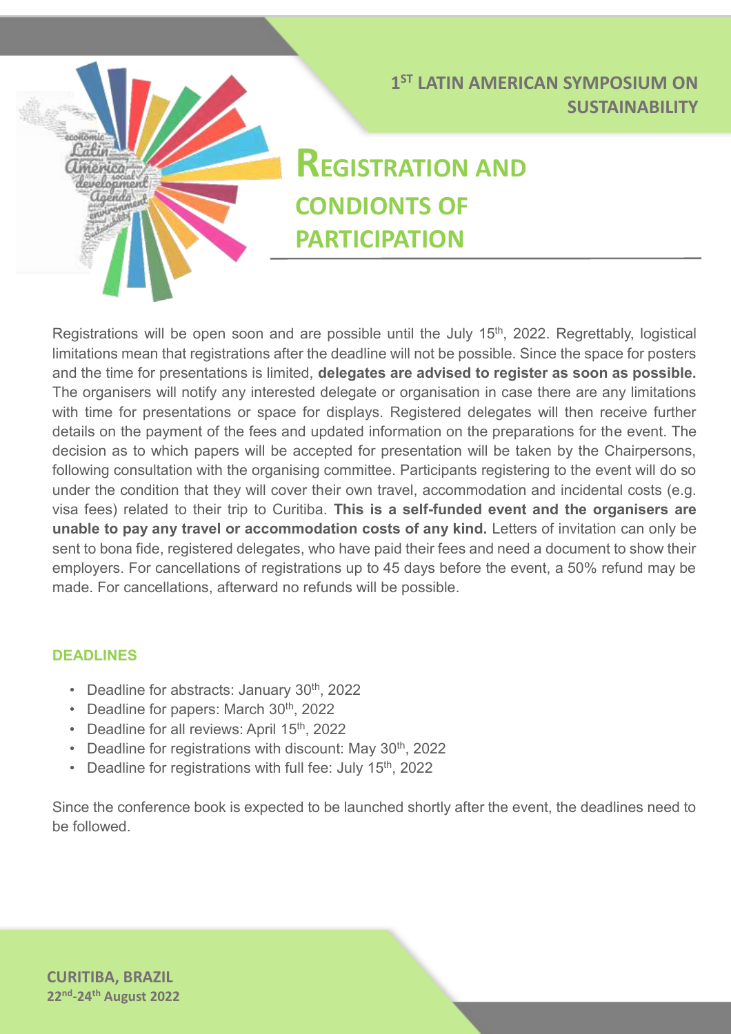# Cafir **Unienica** laenda

#### **1 ST LATIN AMERICAN SYMPOSIUM ON SUSTAINABILITY**

## **REGISTRATION AND CONDIONTS OF PARTICIPATION**

Registrations will be open soon and are possible until the July 15<sup>th</sup>, 2022. Regrettably, logistical limitations mean that registrations after the deadline will not be possible. Since the space for posters and the time for presentations is limited, **delegates are advised to register as soon as possible.** The organisers will notify any interested delegate or organisation in case there are any limitations with time for presentations or space for displays. Registered delegates will then receive further details on the payment of the fees and updated information on the preparations for the event. The decision as to which papers will be accepted for presentation will be taken by the Chairpersons, following consultation with the organising committee. Participants registering to the event will do so under the condition that they will cover their own travel, accommodation and incidental costs (e.g. visa fees) related to their trip to Curitiba. **This is a self-funded event and the organisers are unable to pay any travel or accommodation costs of any kind.** Letters of invitation can only be sent to bona fide, registered delegates, who have paid their fees and need a document to show their employers. For cancellations of registrations up to 45 days before the event, a 50% refund may be made. For cancellations, afterward no refunds will be possible.

#### **DEADLINES**

- Deadline for abstracts: January 30<sup>th</sup>, 2022
- Deadline for papers: March 30<sup>th</sup>, 2022
- Deadline for all reviews: April 15<sup>th</sup>, 2022
- Deadline for registrations with discount: May 30<sup>th</sup>, 2022
- Deadline for registrations with full fee: July 15<sup>th</sup>, 2022

Since the conference book is expected to be launched shortly after the event, the deadlines need to be followed.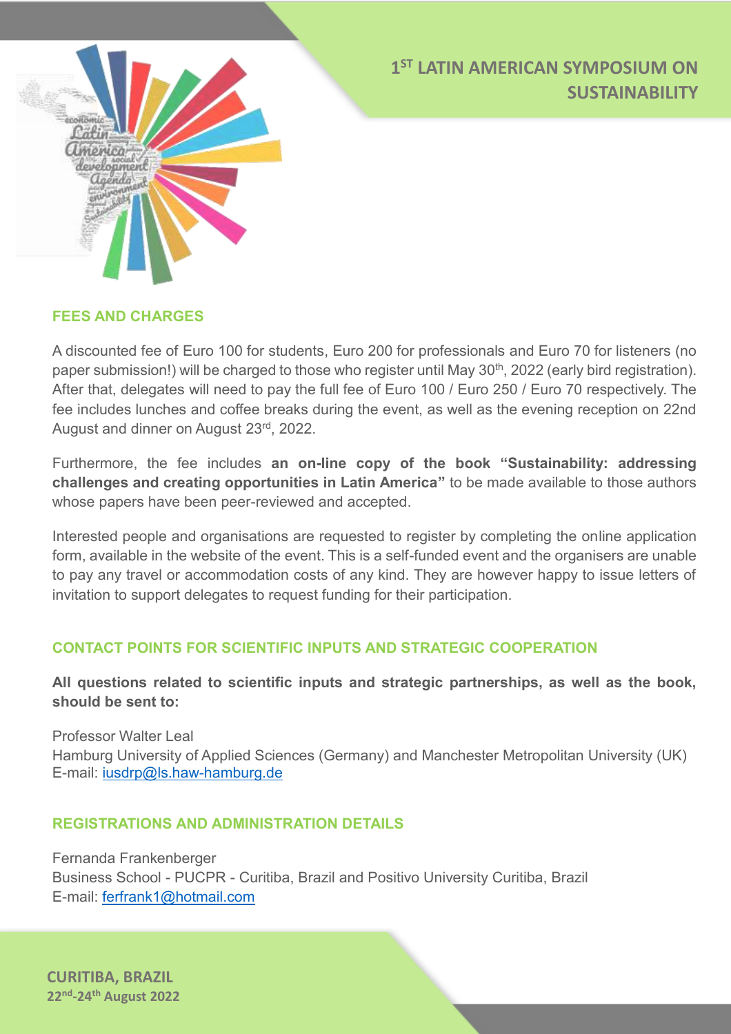



#### **FEES AND CHARGES**

A discounted fee of Euro 100 for students, Euro 200 for professionals and Euro 70 for listeners (no paper submission!) will be charged to those who register until May 30<sup>th</sup>, 2022 (early bird registration). After that, delegates will need to pay the full fee of Euro 100 / Euro 250 / Euro 70 respectively. The fee includes lunches and coffee breaks during the event, as well as the evening reception on 22nd August and dinner on August 23rd, 2022.

Furthermore, the fee includes **an on-line copy of the book "Sustainability: addressing challenges and creating opportunities in Latin America"** to be made available to those authors whose papers have been peer-reviewed and accepted.

Interested people and organisations are requested to register by completing the online application form, available in the website of the event. This is a self-funded event and the organisers are unable to pay any travel or accommodation costs of any kind. They are however happy to issue letters of invitation to support delegates to request funding for their participation.

#### **CONTACT POINTS FOR SCIENTIFIC INPUTS AND STRATEGIC COOPERATION**

**All questions related to scientific inputs and strategic partnerships, as well as the book, should be sent to:**

Professor Walter Leal Hamburg University of Applied Sciences (Germany) and Manchester Metropolitan University (UK) E-mail: [iusdrp@ls.haw-hamburg.de](mailto:iusdrp@ls.haw-hamburg.de)

#### **REGISTRATIONS AND ADMINISTRATION DETAILS**

Fernanda Frankenberger Business School - PUCPR - Curitiba, Brazil and Positivo University Curitiba, Brazil E-mail: [ferfrank1@hotmail.com](mailto:ferfrank1@hotmail.com)

**CURITIBA, BRAZIL 22nd -24th August 2022**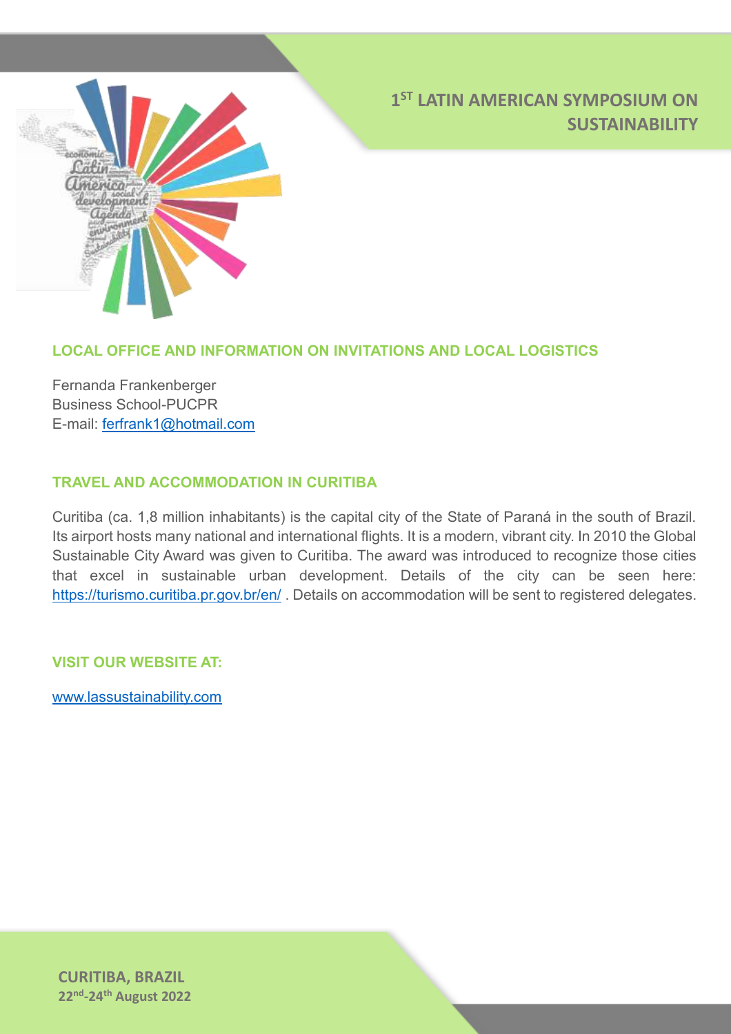

#### **LOCAL OFFICE AND INFORMATION ON INVITATIONS AND LOCAL LOGISTICS**

Fernanda Frankenberger Business School-PUCPR E-mail: [ferfrank1@hotmail.com](mailto:ferfrank1@hotmail.com)

#### **TRAVEL AND ACCOMMODATION IN CURITIBA**

Curitiba (ca. 1,8 million inhabitants) is the capital city of the State of Paraná in the south of Brazil. Its airport hosts many national and international flights. It is a modern, vibrant city. In 2010 the Global Sustainable City Award was given to Curitiba. The award was introduced to recognize those cities that excel in sustainable urban development. Details of the city can be seen here: <https://turismo.curitiba.pr.gov.br/en/>. Details on accommodation will be sent to registered delegates.

**VISIT OUR WEBSITE AT:**

www.lassustainability.com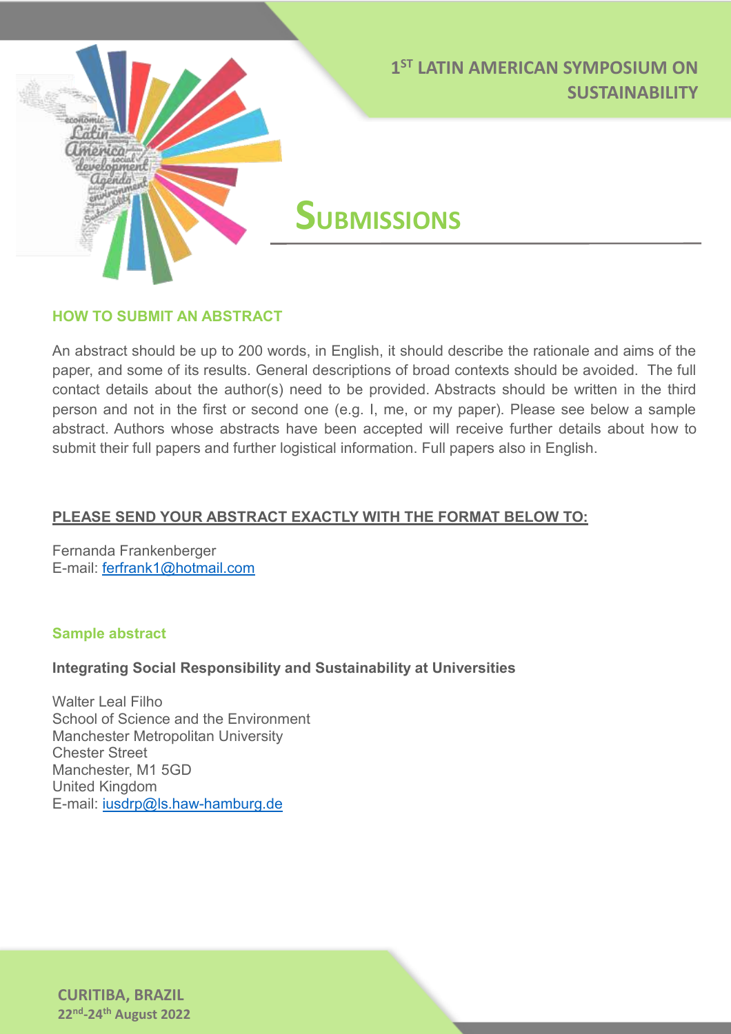

**SUBMISSIONS** 

#### **HOW TO SUBMIT AN ABSTRACT**

america agenda

An abstract should be up to 200 words, in English, it should describe the rationale and aims of the paper, and some of its results. General descriptions of broad contexts should be avoided. The full contact details about the author(s) need to be provided. Abstracts should be written in the third person and not in the first or second one (e.g. I, me, or my paper). Please see below a sample abstract. Authors whose abstracts have been accepted will receive further details about how to submit their full papers and further logistical information. Full papers also in English.

#### **PLEASE SEND YOUR ABSTRACT EXACTLY WITH THE FORMAT BELOW TO:**

Fernanda Frankenberger E-mail: [ferfrank1@hotmail.com](mailto:ferfrank1@hotmail.com)

#### **Sample abstract**

#### **Integrating Social Responsibility and Sustainability at Universities**

Walter Leal Filho School of Science and the Environment Manchester Metropolitan University Chester Street Manchester, M1 5GD United Kingdom E-mail: [iusdrp@ls.haw-hamburg.de](mailto:iusdrp@ls.haw-hamburg.de)

**CURITIBA, BRAZIL 22nd -24th August 2022**